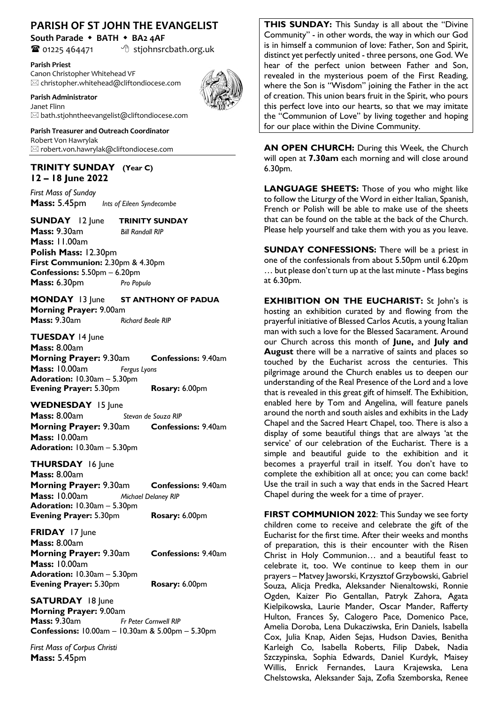## **PARISH OF ST JOHN THE EVANGELIST**

**South Parade** w **BATH** w **BA2 4AF**

 $\bullet$  01225 464471  $\bullet$  stjohnsrcbath.org.uk

**Parish Priest**

Canon Christopher Whitehead VF  $\boxtimes$  christopher.whitehead@cliftondiocese.com

**Parish Administrator** 



Janet Flinn  $\boxtimes$  bath.stjohntheevangelist@cliftondiocese.com

**Parish Treasurer and Outreach Coordinator** Robert Von Hawrylak  $\boxtimes$  robert.von.hawrylak@cliftondiocese.com

## **TRINITY SUNDAY (Year C) 12 – 18 June 2022**

*First Mass of Sunday* **Mass:** 5.45pm*Ints of Eileen Syndecombe*

**SUNDAY** 12 June **TRINITY SUNDAY Mass:** 9.30am *Bill Randall RIP* **Mass:** 11.00am **Polish Mass:** 12.30pm **First Communion:** 2.30pm & 4.30pm **Confessions:** 5.50pm – 6.20pm **Mass:** 6.30pm *Pro Populo*

**MONDAY** 13 June **ST ANTHONY OF PADUA Morning Prayer:** 9.00am **Mass:** 9.30am *Richard Beale RIP*

**TUESDAY** 14 June **Mass:** 8.00am **Morning Prayer:** 9.30am **Confessions:** 9.40am **Mass:** 10.00am *Fergus Lyons* **Adoration:** 10.30am – 5.30pm **Evening Prayer:** 5.30pm **Rosary:** 6.00pm

WEDNESDAY 15 June

**Mass:** 8.00am *Stevan de Souza RIP* **Morning Prayer:** 9.30am **Confessions:** 9.40am **Mass:** 10.00am **Adoration:** 10.30am – 5.30pm

**THURSDAY** 16 June

**Mass:** 8.00am **Morning Prayer:** 9.30am **Confessions:** 9.40am **Mass:** 10.00am *Michael Delaney RIP* **Adoration:** 10.30am – 5.30pm **Evening Prayer:** 5.30pm **Rosary:** 6.00pm

**FRIDAY** 17 June **Mass:** 8.00am **Morning Prayer:** 9.30am **Confessions:** 9.40am **Mass:** 10.00am **Adoration:** 10.30am – 5.30pm **Evening Prayer:** 5.30pm **Rosary:** 6.00pm

**SATURDAY** 18 June **Morning Prayer:** 9.00am<br>**Mass:** 9.30am<br>*Fr* **Fr Peter Cornwell RIP Confessions:** 10.00am – 10.30am & 5.00pm – 5.30pm

*First Mass of Corpus Christi*  **Mass:** 5.45pm

**THIS SUNDAY:** This Sunday is all about the "Divine Community" - in other words, the way in which our God is in himself a communion of love: Father, Son and Spirit, distinct yet perfectly united - three persons, one God. We hear of the perfect union between Father and Son, revealed in the mysterious poem of the First Reading, where the Son is "Wisdom" joining the Father in the act of creation. This union bears fruit in the Spirit, who pours this perfect love into our hearts, so that we may imitate the "Communion of Love" by living together and hoping for our place within the Divine Community.

**AN OPEN CHURCH:** During this Week, the Church will open at **7.30am** each morning and will close around 6.30pm.

**LANGUAGE SHEETS:** Those of you who might like to follow the Liturgy of the Word in either Italian, Spanish, French or Polish will be able to make use of the sheets that can be found on the table at the back of the Church. Please help yourself and take them with you as you leave.

**SUNDAY CONFESSIONS:** There will be a priest in one of the confessionals from about 5.50pm until 6.20pm … but please don't turn up at the last minute - Mass begins at 6.30pm.

**EXHIBITION ON THE EUCHARIST:** St John's is hosting an exhibition curated by and flowing from the prayerful initiative of Blessed Carlos Acutis, a young Italian man with such a love for the Blessed Sacarament. Around our Church across this month of **June,** and **July and August** there will be a narrative of saints and places so touched by the Eucharist across the centuries. This pilgrimage around the Church enables us to deepen our understanding of the Real Presence of the Lord and a love that is revealed in this great gift of himself. The Exhibition, enabled here by Tom and Angelina, will feature panels around the north and south aisles and exhibits in the Lady Chapel and the Sacred Heart Chapel, too. There is also a display of some beautiful things that are always 'at the service' of our celebration of the Eucharist. There is a simple and beautiful guide to the exhibition and it becomes a prayerful trail in itself. You don't have to complete the exhibition all at once; you can come back! Use the trail in such a way that ends in the Sacred Heart Chapel during the week for a time of prayer.

**FIRST COMMUNION 2022**: This Sunday we see forty children come to receive and celebrate the gift of the Eucharist for the first time. After their weeks and months of preparation, this is their encounter with the Risen Christ in Holy Communion… and a beautiful feast to celebrate it, too. We continue to keep them in our prayers – Matvey Jaworski, Krzysztof Grzybowski, Gabriel Souza, Alicja Predka, Aleksander Nienaltowski, Ronnie Ogden, Kaizer Pio Gentallan, Patryk Zahora, Agata Kielpikowska, Laurie Mander, Oscar Mander, Rafferty Hulton, Frances Sy, Calogero Pace, Domenico Pace, Amelia Doroba, Lena Dukacziwska, Erin Daniels, Isabella Cox, Julia Knap, Aiden Sejas, Hudson Davies, Benitha Karleigh Co, Isabella Roberts, Filip Dabek, Nadia Szczypinska, Sophia Edwards, Daniel Kurdyk, Maisey Willis, Enrick Fernandes, Laura Krajewska, Lena Chelstowska, Aleksander Saja, Zofia Szemborska, Renee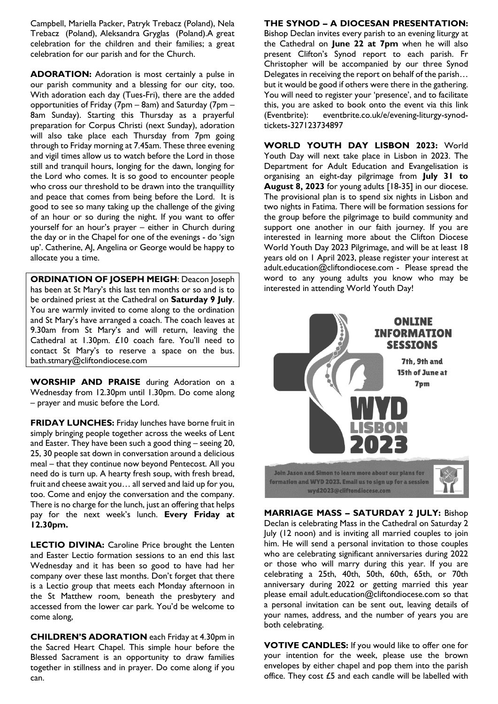Campbell, Mariella Packer, Patryk Trebacz (Poland), Nela Trebacz (Poland), Aleksandra Gryglas (Poland).A great celebration for the children and their families; a great celebration for our parish and for the Church.

**ADORATION:** Adoration is most certainly a pulse in our parish community and a blessing for our city, too. With adoration each day (Tues-Fri), there are the added opportunities of Friday (7pm – 8am) and Saturday (7pm – 8am Sunday). Starting this Thursday as a prayerful preparation for Corpus Christi (next Sunday), adoration will also take place each Thursday from 7pm going through to Friday morning at 7.45am. These three evening and vigil times allow us to watch before the Lord in those still and tranquil hours, longing for the dawn, longing for the Lord who comes. It is so good to encounter people who cross our threshold to be drawn into the tranquillity and peace that comes from being before the Lord. It is good to see so many taking up the challenge of the giving of an hour or so during the night. If you want to offer yourself for an hour's prayer – either in Church during the day or in the Chapel for one of the evenings - do 'sign up'. Catherine, AJ, Angelina or George would be happy to allocate you a time.

**ORDINATION OF JOSEPH MEIGH**: Deacon Joseph has been at St Mary's this last ten months or so and is to be ordained priest at the Cathedral on **Saturday 9 July**. You are warmly invited to come along to the ordination and St Mary's have arranged a coach. The coach leaves at 9.30am from St Mary's and will return, leaving the Cathedral at 1.30pm. £10 coach fare. You'll need to contact St Mary's to reserve a space on the bus. bath.stmary@cliftondiocese.com

**WORSHIP AND PRAISE** during Adoration on a Wednesday from 12.30pm until 1.30pm. Do come along – prayer and music before the Lord.

**FRIDAY LUNCHES:** Friday lunches have borne fruit in simply bringing people together across the weeks of Lent and Easter. They have been such a good thing – seeing 20, 25, 30 people sat down in conversation around a delicious meal – that they continue now beyond Pentecost. All you need do is turn up. A hearty fresh soup, with fresh bread, fruit and cheese await you… all served and laid up for you, too. Come and enjoy the conversation and the company. There is no charge for the lunch, just an offering that helps pay for the next week's lunch. **Every Friday at 12.30pm.**

**LECTIO DIVINA:** Caroline Price brought the Lenten and Easter Lectio formation sessions to an end this last Wednesday and it has been so good to have had her company over these last months. Don't forget that there is a Lectio group that meets each Monday afternoon in the St Matthew room, beneath the presbytery and accessed from the lower car park. You'd be welcome to come along,

**CHILDREN'S ADORATION** each Friday at 4.30pm in the Sacred Heart Chapel. This simple hour before the Blessed Sacrament is an opportunity to draw families together in stillness and in prayer. Do come along if you can.

### **THE SYNOD – A DIOCESAN PRESENTATION:**

Bishop Declan invites every parish to an evening liturgy at the Cathedral on **June 22 at 7pm** when he will also present Clifton's Synod report to each parish. Fr Christopher will be accompanied by our three Synod Delegates in receiving the report on behalf of the parish… but it would be good if others were there in the gathering. You will need to register your 'presence', and to facilitate this, you are asked to book onto the event via this link (Eventbrite): eventbrite.co.uk/e/evening-liturgy-synodtickets-327123734897

**WORLD YOUTH DAY LISBON 2023:** World Youth Day will next take place in Lisbon in 2023. The Department for Adult Education and Evangelisation is organising an eight-day pilgrimage from **July 31 to August 8, 2023** for young adults [18-35] in our diocese. The provisional plan is to spend six nights in Lisbon and two nights in Fatima. There will be formation sessions for the group before the pilgrimage to build community and support one another in our faith journey. If you are interested in learning more about the Clifton Diocese World Youth Day 2023 Pilgrimage, and will be at least 18 years old on 1 April 2023, please register your interest at adult.education@cliftondiocese.com - Please spread the word to any young adults you know who may be interested in attending World Youth Day!



**MARRIAGE MASS – SATURDAY 2 JULY:** Bishop Declan is celebrating Mass in the Cathedral on Saturday 2 July (12 noon) and is inviting all married couples to join him. He will send a personal invitation to those couples who are celebrating significant anniversaries during 2022 or those who will marry during this year. If you are celebrating a 25th, 40th, 50th, 60th, 65th, or 70th anniversary during 2022 or getting married this year please email adult.education@cliftondiocese.com so that a personal invitation can be sent out, leaving details of your names, address, and the number of years you are both celebrating.

**VOTIVE CANDLES:** If you would like to offer one for your intention for the week, please use the brown envelopes by either chapel and pop them into the parish office. They cost £5 and each candle will be labelled with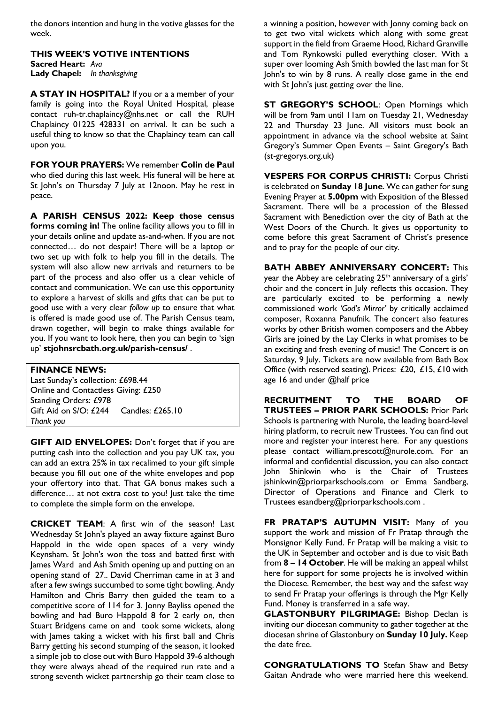the donors intention and hung in the votive glasses for the week.

**THIS WEEK'S VOTIVE INTENTIONS Sacred Heart:** *Ava* **Lady Chapel:** *In thanksgiving*

**A STAY IN HOSPITAL?** If you or a a member of your family is going into the Royal United Hospital, please contact ruh-tr.chaplaincy@nhs.net or call the RUH Chaplaincy 01225 428331 on arrival. It can be such a useful thing to know so that the Chaplaincy team can call upon you.

**FOR YOUR PRAYERS:** We remember **Colin de Paul**  who died during this last week. His funeral will be here at St John's on Thursday 7 July at 12noon. May he rest in peace.

**A PARISH CENSUS 2022: Keep those census forms coming in!** The online facility allows you to fill in your details online and update as-and-when. If you are not connected… do not despair! There will be a laptop or two set up with folk to help you fill in the details. The system will also allow new arrivals and returners to be part of the process and also offer us a clear vehicle of contact and communication. We can use this opportunity to explore a harvest of skills and gifts that can be put to good use with a very clear *follow up* to ensure that what is offered is made good use of. The Parish Census team, drawn together, will begin to make things available for you. If you want to look here, then you can begin to 'sign up' **stjohnsrcbath.org.uk/parish-census/** .

#### **FINANCE NEWS:**

Last Sunday's collection: £698.44 Online and Contactless Giving: £250 Standing Orders: £978 Gift Aid on S/O: £244 Candles: £265.10 *Thank you*

**GIFT AID ENVELOPES:** Don't forget that if you are putting cash into the collection and you pay UK tax, you can add an extra 25% in tax recalimed to your gift simple because you fill out one of the white envelopes and pop your offertory into that. That GA bonus makes such a difference… at not extra cost to you! Just take the time to complete the simple form on the envelope.

**CRICKET TEAM**: A first win of the season! Last Wednesday St John's played an away fixture against Buro Happold in the wide open spaces of a very windy Keynsham. St John's won the toss and batted first with James Ward and Ash Smith opening up and putting on an opening stand of 27.. David Cherriman came in at 3 and after a few swings succumbed to some tight bowling. Andy Hamilton and Chris Barry then guided the team to a competitive score of 114 for 3. Jonny Bayliss opened the bowling and had Buro Happold 8 for 2 early on, then Stuart Bridgens came on and took some wickets, along with James taking a wicket with his first ball and Chris Barry getting his second stumping of the season, it looked a simple job to close out with Buro Happold 39-6 although they were always ahead of the required run rate and a strong seventh wicket partnership go their team close to

a winning a position, however with Jonny coming back on to get two vital wickets which along with some great support in the field from Graeme Hood, Richard Granville and Tom Rynkowski pulled everything closer. With a super over looming Ash Smith bowled the last man for St John's to win by 8 runs. A really close game in the end with St John's just getting over the line.

**ST GREGORY'S SCHOOL:** Open Mornings which will be from 9am until 11am on Tuesday 21, Wednesday 22 and Thursday 23 June. All visitors must book an appointment in advance via the school website at Saint Gregory's Summer Open Events – Saint Gregory's Bath (st-gregorys.org.uk)

**VESPERS FOR CORPUS CHRISTI:** Corpus Christi is celebrated on **Sunday 18 June**. We can gather for sung Evening Prayer at **5.00pm** with Exposition of the Blessed Sacrament. There will be a procession of the Blessed Sacrament with Benediction over the city of Bath at the West Doors of the Church. It gives us opportunity to come before this great Sacrament of Christ's presence and to pray for the people of our city.

**BATH ABBEY ANNIVERSARY CONCERT:** This year the Abbey are celebrating  $25<sup>th</sup>$  anniversary of a girls' choir and the concert in July reflects this occasion. They are particularly excited to be performing a newly commissioned work *'God's Mirror'* by critically acclaimed composer, Roxanna Panufnik. The concert also features works by other British women composers and the Abbey Girls are joined by the Lay Clerks in what promises to be an exciting and fresh evening of music! The Concert is on Saturday, 9 July. Tickets are now available from Bath Box Office (with reserved seating). Prices: £20, £15, £10 with age 16 and under @half price

**RECRUITMENT TO THE BOARD OF TRUSTEES – PRIOR PARK SCHOOLS:** Prior Park Schools is partnering with Nurole, the leading board-level hiring platform, to recruit new Trustees. You can find out more and register your interest here. For any questions please contact william.prescott@nurole.com. For an informal and confidential discussion, you can also contact John Shinkwin who is the Chair of Trustees jshinkwin@priorparkschools.com or Emma Sandberg, Director of Operations and Finance and Clerk to Trustees esandberg@priorparkschools.com .

**FR PRATAP'S AUTUMN VISIT:** Many of you support the work and mission of Fr Pratap through the Monsignor Kelly Fund. Fr Pratap will be making a visit to the UK in September and october and is due to visit Bath from **8 – 14 October**. He will be making an appeal whilst here for support for some projects he is involved within the Diocese. Remember, the best way and the safest way to send Fr Pratap your offerings is through the Mgr Kelly Fund. Money is transferred in a safe way.

**GLASTONBURY PILGRIMAGE:** Bishop Declan is inviting our diocesan community to gather together at the diocesan shrine of Glastonbury on **Sunday 10 July.** Keep the date free.

**CONGRATULATIONS TO** Stefan Shaw and Betsy Gaitan Andrade who were married here this weekend.